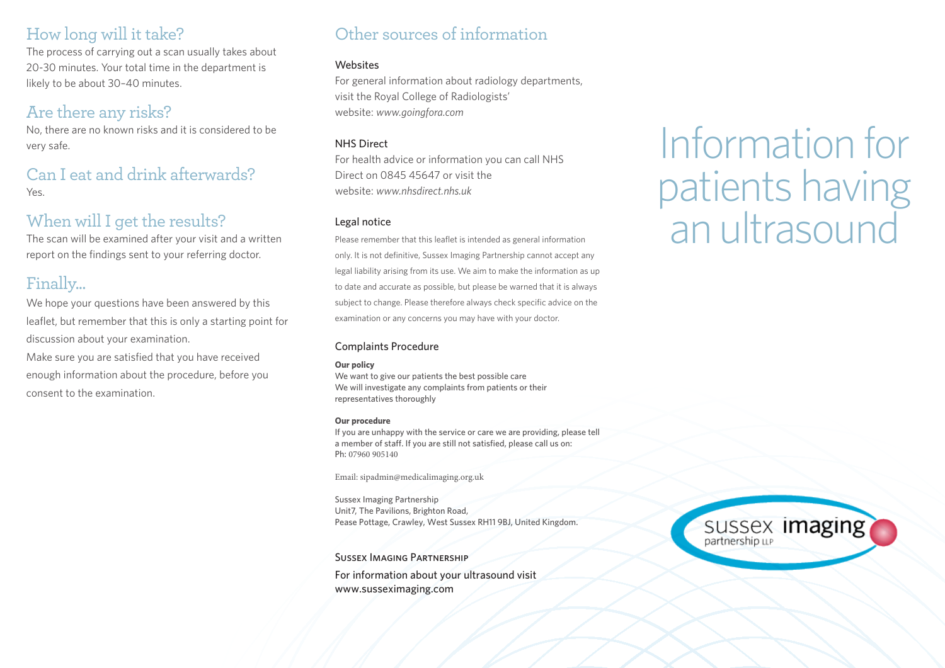### How long will it take?

The process of carrying out a scan usually takes about 20-30 minutes. Your total time in the department is likely to be about 30–40 minutes.

## Are there any risks?

No, there are no known risks and it is considered to be very safe.

### Can I eat and drink afterwards? Yes

### When will I get the results?

The scan will be examined after your visit and a written report on the findings sent to your referring doctor.

## Finally...

We hope your questions have been answered by this leaflet, but remember that this is only a starting point for discussion about your examination.

Make sure you are satisfied that you have received enough information about the procedure, before you consent to the examination.

## Other sources of information

### **Websites**

For general information about radiology departments, visit the Royal College of Radiologists' website: *www.goingfora.com*

### NHS Direct

For health advice or information you can call NHS Direct on 0845 45647 or visit the website: *www.nhsdirect.nhs.uk* 

### Legal notice

Please remember that this leaflet is intended as general information only. It is not definitive, Sussex Imaging Partnership cannot accept any legal liability arising from its use. We aim to make the information as up to date and accurate as possible, but please be warned that it is always subject to change. Please therefore always check specific advice on the examination or any concerns you may have with your doctor.

### Complaints Procedure

### **Our policy**

We want to give our patients the best possible care We will investigate any complaints from patients or their representatives thoroughly

#### **Our procedure**

If you are unhappy with the service or care we are providing, please tell a member of staff. If you are still not satisfied, please call us on: Ph: 07960 905140

Email: sipadmin@medicalimaging.org.uk

Sussex Imaging Partnership Unit7, The Pavilions, Brighton Road, Pease Pottage, Crawley, West Sussex RH11 9BJ, United Kingdom.

Sussex Imaging Partnership

For information about your ultrasound visit www.susseximaging.com

# Information for patients having an ultrasound